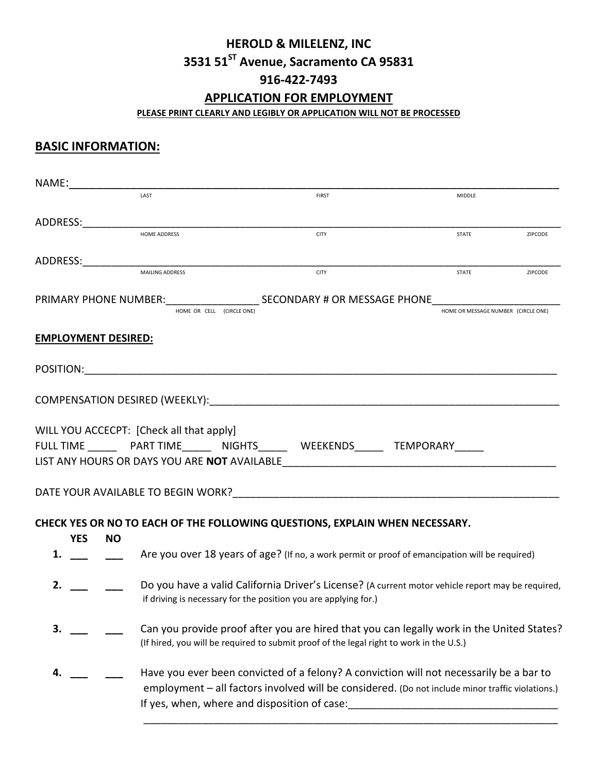# **HEROLD & MILELENZ, INC 3531 51ST Avenue, Sacramento CA 95831 916-422-7493**

### **APPLICATION FOR EMPLOYMENT**

**PLEASE PRINT CLEARLY AND LEGIBLY OR APPLICATION WILL NOT BE PROCESSED**

## **BASIC INFORMATION:**

| NAME: |            |                            |                                          |                                                                                                                                                                                                                                             |                                     |         |
|-------|------------|----------------------------|------------------------------------------|---------------------------------------------------------------------------------------------------------------------------------------------------------------------------------------------------------------------------------------------|-------------------------------------|---------|
|       |            |                            | LAST                                     | <b>FIRST</b>                                                                                                                                                                                                                                | MIDDLE                              |         |
|       | ADDRESS:   |                            |                                          |                                                                                                                                                                                                                                             |                                     |         |
|       |            |                            | <b>HOME ADDRESS</b>                      | <b>CITY</b>                                                                                                                                                                                                                                 | STATE                               | ZIPCODE |
|       | ADDRESS:   |                            |                                          |                                                                                                                                                                                                                                             |                                     |         |
|       |            |                            | <b>MAILING ADDRESS</b>                   | <b>CITY</b>                                                                                                                                                                                                                                 | <b>STATE</b>                        | ZIPCODE |
|       |            |                            |                                          | PRIMARY PHONE NUMBER: SECONDARY # OR MESSAGE PHONE<br>HOME OR CELL (CIRCLE ONE)                                                                                                                                                             | HOME OR MESSAGE NUMBER (CIRCLE ONE) |         |
|       |            | <b>EMPLOYMENT DESIRED:</b> |                                          |                                                                                                                                                                                                                                             |                                     |         |
|       |            |                            |                                          |                                                                                                                                                                                                                                             |                                     |         |
|       |            |                            |                                          |                                                                                                                                                                                                                                             |                                     |         |
|       |            |                            | WILL YOU ACCECPT: [Check all that apply] | FULL TIME PART TIME __ NIGHTS_____ WEEKENDS_____ TEMPORARY_____<br>LIST ANY HOURS OR DAYS YOU ARE NOT AVAILABLE                                                                                                                             |                                     |         |
|       |            |                            |                                          | DATE YOUR AVAILABLE TO BEGIN WORK? NOTE: THE STATE YOUR AVAILABLE                                                                                                                                                                           |                                     |         |
|       | <b>YES</b> | <b>NO</b>                  |                                          | CHECK YES OR NO TO EACH OF THE FOLLOWING QUESTIONS, EXPLAIN WHEN NECESSARY.                                                                                                                                                                 |                                     |         |
| 1.    |            |                            |                                          | Are you over 18 years of age? (If no, a work permit or proof of emancipation will be required)                                                                                                                                              |                                     |         |
| 2.    |            |                            |                                          | Do you have a valid California Driver's License? (A current motor vehicle report may be required,<br>if driving is necessary for the position you are applying for.)                                                                        |                                     |         |
| 3.    |            |                            |                                          | Can you provide proof after you are hired that you can legally work in the United States?<br>(If hired, you will be required to submit proof of the legal right to work in the U.S.)                                                        |                                     |         |
| 4.    |            |                            |                                          | Have you ever been convicted of a felony? A conviction will not necessarily be a bar to<br>employment - all factors involved will be considered. (Do not include minor traffic violations.)<br>If yes, when, where and disposition of case: |                                     |         |

\_\_\_\_\_\_\_\_\_\_\_\_\_\_\_\_\_\_\_\_\_\_\_\_\_\_\_\_\_\_\_\_\_\_\_\_\_\_\_\_\_\_\_\_\_\_\_\_\_\_\_\_\_\_\_\_\_\_\_\_\_\_\_\_\_\_\_\_\_\_\_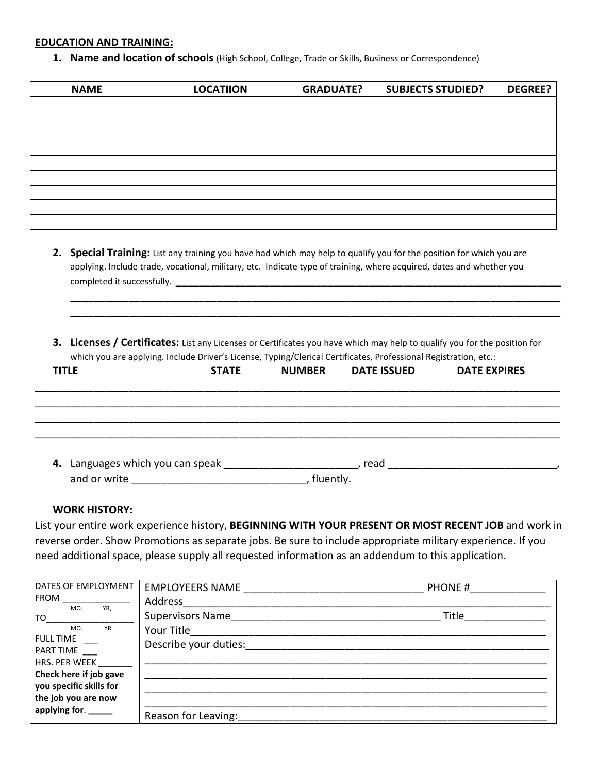### **EDUCATION AND TRAINING:**

**1. Name and location of schools** (High School, College, Trade or Skills, Business or Correspondence)

| <b>NAME</b> | <b>LOCATIION</b> | <b>GRADUATE?</b> | <b>SUBJECTS STUDIED?</b> | <b>DEGREE?</b> |
|-------------|------------------|------------------|--------------------------|----------------|
|             |                  |                  |                          |                |
|             |                  |                  |                          |                |
|             |                  |                  |                          |                |
|             |                  |                  |                          |                |
|             |                  |                  |                          |                |
|             |                  |                  |                          |                |
|             |                  |                  |                          |                |
|             |                  |                  |                          |                |
|             |                  |                  |                          |                |

- **2. Special Training:** List any training you have had which may help to qualify you for the position for which you are applying. Include trade, vocational, military, etc. Indicate type of training, where acquired, dates and whether you completed it successfully. \_\_\_\_\_\_\_\_\_\_\_\_\_\_\_\_\_\_\_\_\_\_\_\_\_\_\_\_\_\_\_\_\_\_\_\_\_\_\_\_\_\_\_\_\_\_\_\_\_\_\_\_\_\_\_\_\_\_\_\_\_\_\_\_\_\_
- **3. Licenses / Certificates:** List any Licenses or Certificates you have which may help to qualify you for the position for which you are applying. Include Driver's License, Typing/Clerical Certificates, Professional Registration, etc.:

\_\_\_\_\_\_\_\_\_\_\_\_\_\_\_\_\_\_\_\_\_\_\_\_\_\_\_\_\_\_\_\_\_\_\_\_\_\_\_\_\_\_\_\_\_\_\_\_\_\_\_\_\_\_\_\_\_\_\_\_\_\_\_\_\_\_\_\_\_\_\_\_\_\_\_\_\_\_\_\_\_\_\_\_ \_\_\_\_\_\_\_\_\_\_\_\_\_\_\_\_\_\_\_\_\_\_\_\_\_\_\_\_\_\_\_\_\_\_\_\_\_\_\_\_\_\_\_\_\_\_\_\_\_\_\_\_\_\_\_\_\_\_\_\_\_\_\_\_\_\_\_\_\_\_\_\_\_\_\_\_\_\_\_\_\_\_\_\_

| <b>TITLE</b>                                | <b>STATE</b> | <b>NUMBER</b> | <b>DATE ISSUED</b> | <b>DATE EXPIRES</b> |  |
|---------------------------------------------|--------------|---------------|--------------------|---------------------|--|
|                                             |              |               |                    |                     |  |
|                                             |              |               |                    |                     |  |
| 4. Languages which you can speak __________ |              |               | read               |                     |  |
| and or write <u>________________</u>        |              | fluently.     |                    |                     |  |

#### **WORK HISTORY:**

List your entire work experience history, **BEGINNING WITH YOUR PRESENT OR MOST RECENT JOB** and work in reverse order. Show Promotions as separate jobs. Be sure to include appropriate military experience. If you need additional space, please supply all requested information as an addendum to this application.

| DATES OF EMPLOYMENT                                                      | <b>EMPLOYEERS NAME</b><br>Address _________ | <b>PHONE #</b> |
|--------------------------------------------------------------------------|---------------------------------------------|----------------|
| YR.<br>MO.<br>TO.<br>MO.<br>YR.<br><b>FULL TIME</b>                      | Supervisors Name<br>Your Title              | Title          |
| PART TIME<br>HRS. PER WEEK                                               | Describe your duties:                       |                |
| Check here if job gave<br>you specific skills for<br>the job you are now |                                             |                |
| applying for.                                                            | Reason for Leaving:                         |                |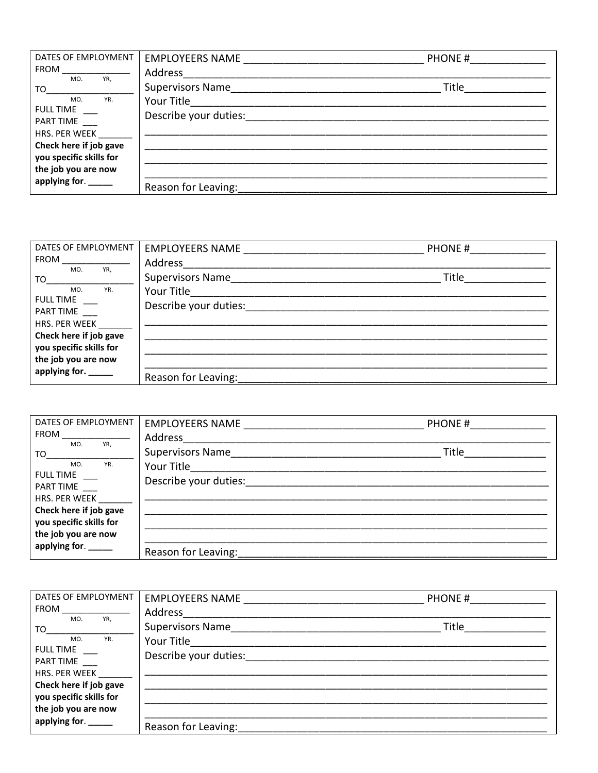| DATES OF EMPLOYMENT<br>$FROM$ _________________                                                                                                                                                                                | <b>EMPLOYEERS NAME</b>  | <b>PHONE #</b> |
|--------------------------------------------------------------------------------------------------------------------------------------------------------------------------------------------------------------------------------|-------------------------|----------------|
| MO.<br>YR,                                                                                                                                                                                                                     | Address _______         |                |
| TO the contract of the contract of the contract of the contract of the contract of the contract of the contract of the contract of the contract of the contract of the contract of the contract of the contract of the contrac | <b>Supervisors Name</b> | Title          |
| MO.<br>YR.<br><b>FULL TIME</b>                                                                                                                                                                                                 | Your Title_____________ |                |
| PART TIME                                                                                                                                                                                                                      | Describe your duties:   |                |
| HRS. PER WEEK                                                                                                                                                                                                                  |                         |                |
| Check here if job gave                                                                                                                                                                                                         |                         |                |
| you specific skills for                                                                                                                                                                                                        |                         |                |
| the job you are now                                                                                                                                                                                                            |                         |                |
| applying for. _____                                                                                                                                                                                                            | Reason for Leaving:     |                |

| DATES OF EMPLOYMENT       | <b>EMPLOYEERS NAME</b>  | PHONE# |  |
|---------------------------|-------------------------|--------|--|
| <b>FROM</b><br>YR,<br>MO. | Address                 |        |  |
| TO                        | <b>Supervisors Name</b> | Title  |  |
| YR.<br>MO.                | Your Title              |        |  |
| <b>FULL TIME</b>          | Describe your duties:   |        |  |
| PART TIME                 |                         |        |  |
| HRS. PER WEEK             |                         |        |  |
| Check here if job gave    |                         |        |  |
| you specific skills for   |                         |        |  |
| the job you are now       |                         |        |  |
| applying for. _____       | Reason for Leaving:     |        |  |

| DATES OF EMPLOYMENT<br><b>FROM Example 20</b>                                                                                                                | EMPLOYEERS NAME<br>Address                                             | PHONE# |  |
|--------------------------------------------------------------------------------------------------------------------------------------------------------------|------------------------------------------------------------------------|--------|--|
| YR,<br>MO.<br>TO<br>MO.<br>YR.<br><b>FULL TIME</b><br>PART TIME<br>HRS. PER WEEK<br>Check here if job gave<br>you specific skills for<br>the job you are now | Supervisors Name<br>Your Title <b>Note 18</b><br>Describe your duties: | Title  |  |
| applying for. _____                                                                                                                                          | Reason for Leaving:                                                    |        |  |

| DATES OF EMPLOYMENT     | EMPLOYEERS NAME                          | PHONE # |  |
|-------------------------|------------------------------------------|---------|--|
| FROM<br>YR,<br>MO.      | Address                                  |         |  |
| TO                      | <b>Supervisors Name</b> Supervisors Name | Title   |  |
| YR.<br>MO.              | Your Title____________                   |         |  |
| <b>FULL TIME</b>        | Describe your duties:                    |         |  |
| PART TIME               |                                          |         |  |
| HRS. PER WEEK           |                                          |         |  |
| Check here if job gave  |                                          |         |  |
| you specific skills for |                                          |         |  |
| the job you are now     |                                          |         |  |
| applying for. _____     | Reason for Leaving:                      |         |  |